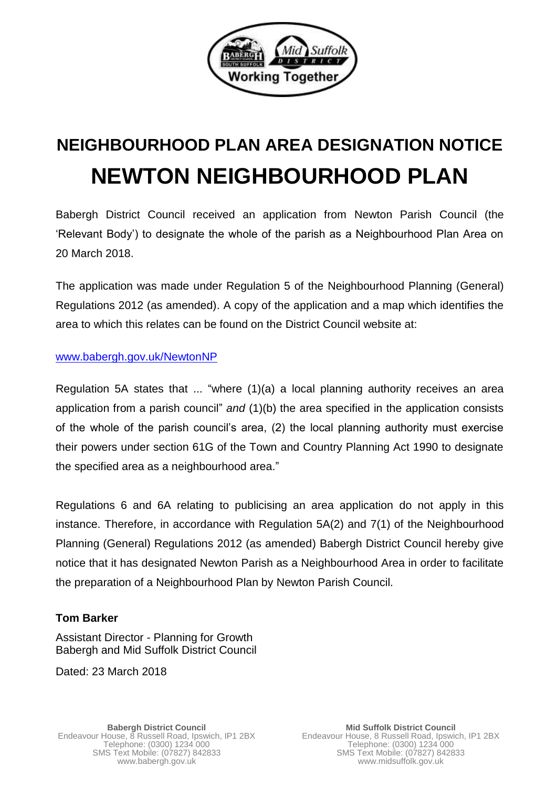

# **NEIGHBOURHOOD PLAN AREA DESIGNATION NOTICE NEWTON NEIGHBOURHOOD PLAN**

Babergh District Council received an application from Newton Parish Council (the 'Relevant Body') to designate the whole of the parish as a Neighbourhood Plan Area on 20 March 2018.

The application was made under Regulation 5 of the Neighbourhood Planning (General) Regulations 2012 (as amended). A copy of the application and a map which identifies the area to which this relates can be found on the District Council website at:

## [www.babergh.gov.uk/NewtonNP](http://www.babergh.gov.uk/planning/neighbourhood-planning/neighbourhood-planning-in-babergh/newton-neighbourhood-plan/)

Regulation 5A states that ... "where (1)(a) a local planning authority receives an area application from a parish council" *and* (1)(b) the area specified in the application consists of the whole of the parish council's area, (2) the local planning authority must exercise their powers under section 61G of the Town and Country Planning Act 1990 to designate the specified area as a neighbourhood area."

Regulations 6 and 6A relating to publicising an area application do not apply in this instance. Therefore, in accordance with Regulation 5A(2) and 7(1) of the Neighbourhood Planning (General) Regulations 2012 (as amended) Babergh District Council hereby give notice that it has designated Newton Parish as a Neighbourhood Area in order to facilitate the preparation of a Neighbourhood Plan by Newton Parish Council.

# **Tom Barker**

Assistant Director - Planning for Growth Babergh and Mid Suffolk District Council

Dated: 23 March 2018

**Babergh District Council** Endeavour House, 8 Russell Road, Ipswich, IP1 2BX Telephone: (0300) 1234 000 SMS Text Mobile: (07827) 842833 www.babergh.gov.uk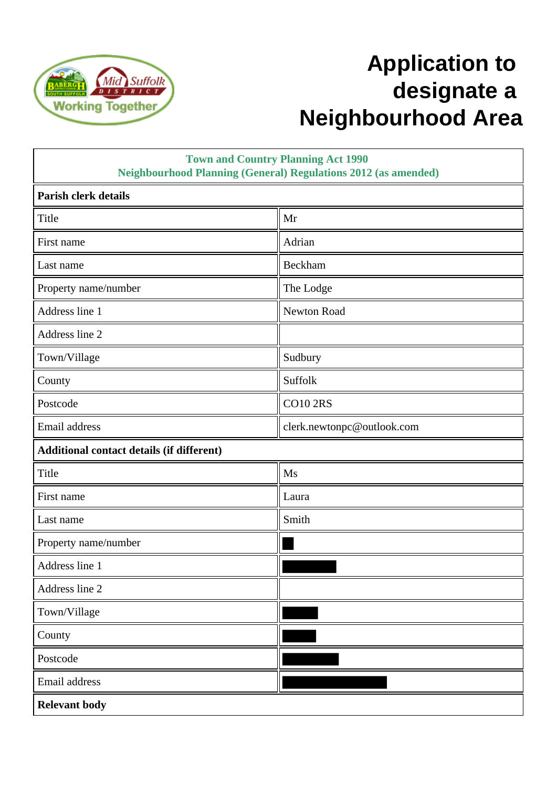

# **Application to designate a Neighbourhood Area**

| <b>Town and Country Planning Act 1990</b><br><b>Neighbourhood Planning (General) Regulations 2012 (as amended)</b> |                            |  |
|--------------------------------------------------------------------------------------------------------------------|----------------------------|--|
| Parish clerk details                                                                                               |                            |  |
| Title                                                                                                              | Mr                         |  |
| First name                                                                                                         | Adrian                     |  |
| Last name                                                                                                          | Beckham                    |  |
| Property name/number                                                                                               | The Lodge                  |  |
| Address line 1                                                                                                     | Newton Road                |  |
| Address line 2                                                                                                     |                            |  |
| Town/Village                                                                                                       | Sudbury                    |  |
| County                                                                                                             | Suffolk                    |  |
| Postcode                                                                                                           | <b>CO10 2RS</b>            |  |
| Email address                                                                                                      | clerk.newtonpc@outlook.com |  |
| <b>Additional contact details (if different)</b>                                                                   |                            |  |
| Title                                                                                                              | Ms                         |  |
| First name                                                                                                         | Laura                      |  |
| Last name                                                                                                          | Smith                      |  |
| Property name/number                                                                                               |                            |  |
| Address line 1                                                                                                     |                            |  |
| Address line 2                                                                                                     |                            |  |
| Town/Village                                                                                                       |                            |  |
| County                                                                                                             |                            |  |
| Postcode                                                                                                           |                            |  |
| Email address                                                                                                      |                            |  |
| <b>Relevant body</b>                                                                                               |                            |  |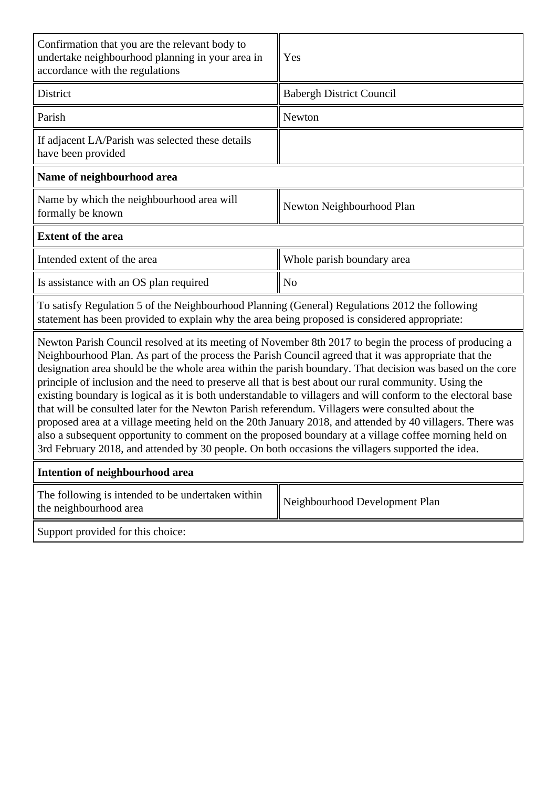| Confirmation that you are the relevant body to<br>undertake neighbourhood planning in your area in<br>accordance with the regulations                                                                                                                                                                                                                                                                                                                                                                                                                                                                                                                                                                                                                                                                                                                                                                                                                                                  | Yes                             |  |
|----------------------------------------------------------------------------------------------------------------------------------------------------------------------------------------------------------------------------------------------------------------------------------------------------------------------------------------------------------------------------------------------------------------------------------------------------------------------------------------------------------------------------------------------------------------------------------------------------------------------------------------------------------------------------------------------------------------------------------------------------------------------------------------------------------------------------------------------------------------------------------------------------------------------------------------------------------------------------------------|---------------------------------|--|
| District                                                                                                                                                                                                                                                                                                                                                                                                                                                                                                                                                                                                                                                                                                                                                                                                                                                                                                                                                                               | <b>Babergh District Council</b> |  |
| Parish                                                                                                                                                                                                                                                                                                                                                                                                                                                                                                                                                                                                                                                                                                                                                                                                                                                                                                                                                                                 | Newton                          |  |
| If adjacent LA/Parish was selected these details<br>have been provided                                                                                                                                                                                                                                                                                                                                                                                                                                                                                                                                                                                                                                                                                                                                                                                                                                                                                                                 |                                 |  |
| Name of neighbourhood area                                                                                                                                                                                                                                                                                                                                                                                                                                                                                                                                                                                                                                                                                                                                                                                                                                                                                                                                                             |                                 |  |
| Name by which the neighbourhood area will<br>formally be known                                                                                                                                                                                                                                                                                                                                                                                                                                                                                                                                                                                                                                                                                                                                                                                                                                                                                                                         | Newton Neighbourhood Plan       |  |
| <b>Extent of the area</b>                                                                                                                                                                                                                                                                                                                                                                                                                                                                                                                                                                                                                                                                                                                                                                                                                                                                                                                                                              |                                 |  |
| Intended extent of the area                                                                                                                                                                                                                                                                                                                                                                                                                                                                                                                                                                                                                                                                                                                                                                                                                                                                                                                                                            | Whole parish boundary area      |  |
| Is assistance with an OS plan required                                                                                                                                                                                                                                                                                                                                                                                                                                                                                                                                                                                                                                                                                                                                                                                                                                                                                                                                                 | N <sub>o</sub>                  |  |
| To satisfy Regulation 5 of the Neighbourhood Planning (General) Regulations 2012 the following<br>statement has been provided to explain why the area being proposed is considered appropriate:                                                                                                                                                                                                                                                                                                                                                                                                                                                                                                                                                                                                                                                                                                                                                                                        |                                 |  |
| Newton Parish Council resolved at its meeting of November 8th 2017 to begin the process of producing a<br>Neighbourhood Plan. As part of the process the Parish Council agreed that it was appropriate that the<br>designation area should be the whole area within the parish boundary. That decision was based on the core<br>principle of inclusion and the need to preserve all that is best about our rural community. Using the<br>existing boundary is logical as it is both understandable to villagers and will conform to the electoral base<br>that will be consulted later for the Newton Parish referendum. Villagers were consulted about the<br>proposed area at a village meeting held on the 20th January 2018, and attended by 40 villagers. There was<br>also a subsequent opportunity to comment on the proposed boundary at a village coffee morning held on<br>3rd February 2018, and attended by 30 people. On both occasions the villagers supported the idea. |                                 |  |
| Intention of neighbourhood area                                                                                                                                                                                                                                                                                                                                                                                                                                                                                                                                                                                                                                                                                                                                                                                                                                                                                                                                                        |                                 |  |
| The following is intended to be undertaken within<br>the neighbourhood area                                                                                                                                                                                                                                                                                                                                                                                                                                                                                                                                                                                                                                                                                                                                                                                                                                                                                                            | Neighbourhood Development Plan  |  |
| Support provided for this choice:                                                                                                                                                                                                                                                                                                                                                                                                                                                                                                                                                                                                                                                                                                                                                                                                                                                                                                                                                      |                                 |  |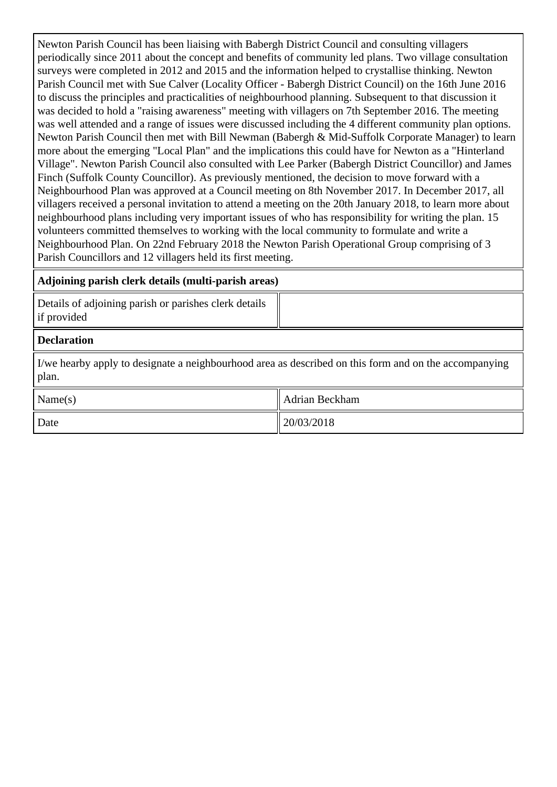Newton Parish Council has been liaising with Babergh District Council and consulting villagers periodically since 2011 about the concept and benefits of community led plans. Two village consultation surveys were completed in 2012 and 2015 and the information helped to crystallise thinking. Newton Parish Council met with Sue Calver (Locality Officer - Babergh District Council) on the 16th June 2016 to discuss the principles and practicalities of neighbourhood planning. Subsequent to that discussion it was decided to hold a "raising awareness" meeting with villagers on 7th September 2016. The meeting was well attended and a range of issues were discussed including the 4 different community plan options. Newton Parish Council then met with Bill Newman (Babergh & Mid-Suffolk Corporate Manager) to learn more about the emerging "Local Plan" and the implications this could have for Newton as a "Hinterland Village". Newton Parish Council also consulted with Lee Parker (Babergh District Councillor) and James Finch (Suffolk County Councillor). As previously mentioned, the decision to move forward with a Neighbourhood Plan was approved at a Council meeting on 8th November 2017. In December 2017, all villagers received a personal invitation to attend a meeting on the 20th January 2018, to learn more about neighbourhood plans including very important issues of who has responsibility for writing the plan. 15 volunteers committed themselves to working with the local community to formulate and write a Neighbourhood Plan. On 22nd February 2018 the Newton Parish Operational Group comprising of 3 Parish Councillors and 12 villagers held its first meeting.

#### **Adjoining parish clerk details (multi-parish areas)**

Details of adjoining parish or parishes clerk details if provided

## **Declaration**

I/we hearby apply to designate a neighbourhood area as described on this form and on the accompanying plan.

| Name(s) | Adrian Beckham         |
|---------|------------------------|
| Date    | $\parallel$ 20/03/2018 |